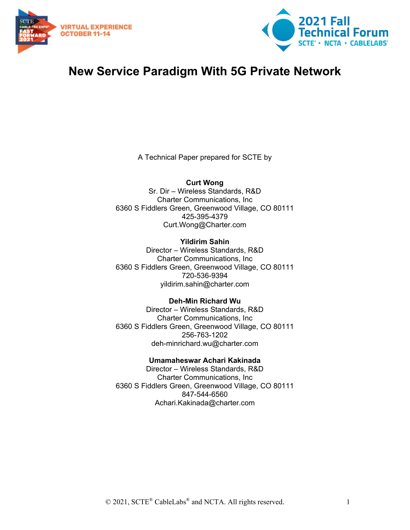



## **New Service Paradigm With 5G Private Network**

A Technical Paper prepared for SCTE by

**Curt Wong** Sr. Dir – Wireless Standards, R&D Charter Communications, Inc 6360 S Fiddlers Green, Greenwood Village, CO 80111 425-395-4379 Curt.Wong@Charter.com

**Yildirim Sahin** Director – Wireless Standards, R&D Charter Communications, Inc 6360 S Fiddlers Green, Greenwood Village, CO 80111 720-536-9394 yildirim.sahin@charter.com

**Deh-Min Richard Wu** Director – Wireless Standards, R&D Charter Communications, Inc 6360 S Fiddlers Green, Greenwood Village, CO 80111 256-763-1202 deh-minrichard.wu@charter.com

**Umamaheswar Achari Kakinada** Director – Wireless Standards, R&D Charter Communications, Inc 6360 S Fiddlers Green, Greenwood Village, CO 80111 847-544-6560 Achari.Kakinada@charter.com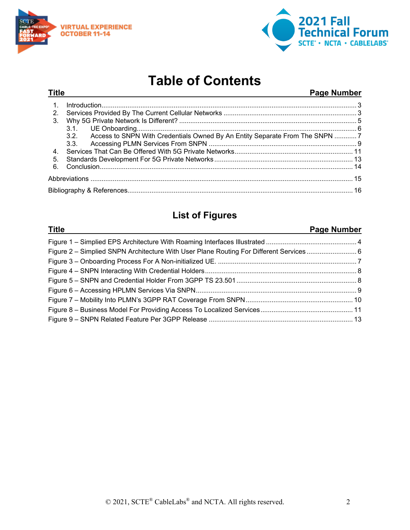



# **Table of Contents**

#### **Title Page Number**

| 2. |                                                                                  |  |  |  |
|----|----------------------------------------------------------------------------------|--|--|--|
| 3. |                                                                                  |  |  |  |
|    |                                                                                  |  |  |  |
|    | 3.2. Access to SNPN With Credentials Owned By An Entity Separate From The SNPN 7 |  |  |  |
|    | 3.3.                                                                             |  |  |  |
|    |                                                                                  |  |  |  |
| 5. |                                                                                  |  |  |  |
| 6. |                                                                                  |  |  |  |
|    |                                                                                  |  |  |  |
|    |                                                                                  |  |  |  |

## **List of Figures**

#### **Title Page Number**

| Figure 2 – Simplied SNPN Architecture With User Plane Routing For Different Services 6 |  |
|----------------------------------------------------------------------------------------|--|
|                                                                                        |  |
|                                                                                        |  |
|                                                                                        |  |
|                                                                                        |  |
|                                                                                        |  |
|                                                                                        |  |
|                                                                                        |  |
|                                                                                        |  |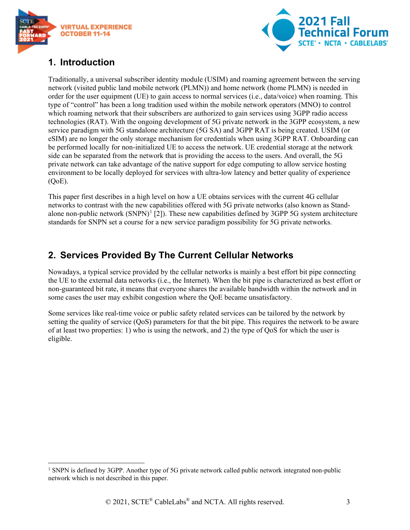



## <span id="page-2-0"></span>**1. Introduction**

Traditionally, a universal subscriber identity module (USIM) and roaming agreement between the serving network (visited public land mobile network (PLMN)) and home network (home PLMN) is needed in order for the user equipment (UE) to gain access to normal services (i.e., data/voice) when roaming. This type of "control" has been a long tradition used within the mobile network operators (MNO) to control which roaming network that their subscribers are authorized to gain services using 3GPP radio access technologies (RAT). With the ongoing development of 5G private network in the 3GPP ecosystem, a new service paradigm with 5G standalone architecture (5G SA) and 3GPP RAT is being created. USIM (or eSIM) are no longer the only storage mechanism for credentials when using 3GPP RAT. Onboarding can be performed locally for non-initialized UE to access the network. UE credential storage at the network side can be separated from the network that is providing the access to the users. And overall, the 5G private network can take advantage of the native support for edge computing to allow service hosting environment to be locally deployed for services with ultra-low latency and better quality of experience  $(OoE)$ .

This paper first describes in a high level on how a UE obtains services with the current 4G cellular networks to contrast with the new capabilities offered with 5G private networks (also known as Standalone non-public network  $(SNPN)^1$  $(SNPN)^1$  [2]). These new capabilities defined by 3GPP 5G system architecture standards for SNPN set a course for a new service paradigm possibility for 5G private networks.

## <span id="page-2-1"></span>**2. Services Provided By The Current Cellular Networks**

Nowadays, a typical service provided by the cellular networks is mainly a best effort bit pipe connecting the UE to the external data networks (i.e., the Internet). When the bit pipe is characterized as best effort or non-guaranteed bit rate, it means that everyone shares the available bandwidth within the network and in some cases the user may exhibit congestion where the QoE became unsatisfactory.

Some services like real-time voice or public safety related services can be tailored by the network by setting the quality of service (QoS) parameters for that the bit pipe. This requires the network to be aware of at least two properties: 1) who is using the network, and 2) the type of QoS for which the user is eligible.

<span id="page-2-2"></span><sup>&</sup>lt;sup>1</sup> SNPN is defined by 3GPP. Another type of 5G private network called public network integrated non-public network which is not described in this paper.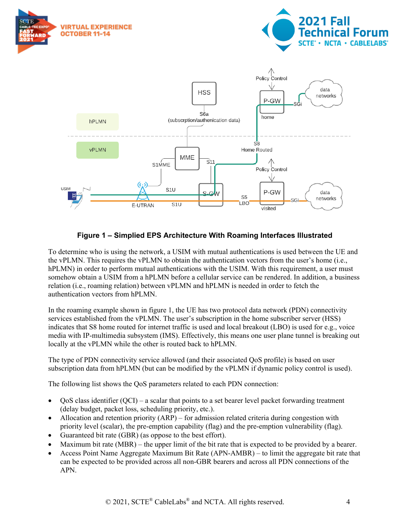

#### **Figure 1 – Simplied EPS Architecture With Roaming Interfaces Illustrated**

<span id="page-3-0"></span>To determine who is using the network, a USIM with mutual authentications is used between the UE and the vPLMN. This requires the vPLMN to obtain the authentication vectors from the user's home (i.e., hPLMN) in order to perform mutual authentications with the USIM. With this requirement, a user must somehow obtain a USIM from a hPLMN before a cellular service can be rendered. In addition, a business relation (i.e., roaming relation) between vPLMN and hPLMN is needed in order to fetch the authentication vectors from hPLMN.

In the roaming example shown in figure 1, the UE has two protocol data network (PDN) connectivity services established from the vPLMN. The user's subscription in the home subscriber server (HSS) indicates that S8 home routed for internet traffic is used and local breakout (LBO) is used for e.g., voice media with IP-multimedia subsystem (IMS). Effectively, this means one user plane tunnel is breaking out locally at the vPLMN while the other is routed back to hPLMN.

The type of PDN connectivity service allowed (and their associated QoS profile) is based on user subscription data from hPLMN (but can be modified by the vPLMN if dynamic policy control is used).

The following list shows the QoS parameters related to each PDN connection:

- QoS class identifier (QCI) a scalar that points to a set bearer level packet forwarding treatment (delay budget, packet loss, scheduling priority, etc.).
- Allocation and retention priority (ARP) for admission related criteria during congestion with priority level (scalar), the pre-emption capability (flag) and the pre-emption vulnerability (flag).
- Guaranteed bit rate (GBR) (as oppose to the best effort).
- Maximum bit rate (MBR) the upper limit of the bit rate that is expected to be provided by a bearer.
- Access Point Name Aggregate Maximum Bit Rate (APN-AMBR) to limit the aggregate bit rate that can be expected to be provided across all non-GBR bearers and across all PDN connections of the APN.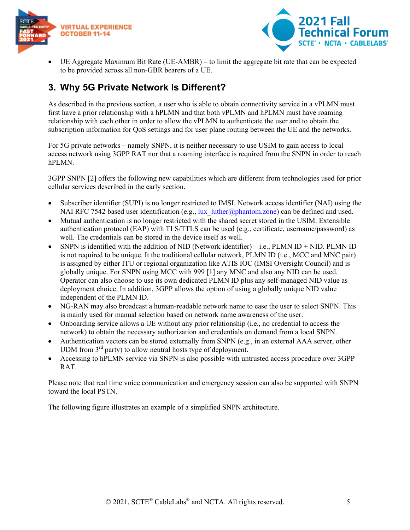



• UE Aggregate Maximum Bit Rate (UE-AMBR) – to limit the aggregate bit rate that can be expected to be provided across all non-GBR bearers of a UE.

## <span id="page-4-0"></span>**3. Why 5G Private Network Is Different?**

As described in the previous section, a user who is able to obtain connectivity service in a vPLMN must first have a prior relationship with a hPLMN and that both vPLMN and hPLMN must have roaming relationship with each other in order to allow the vPLMN to authenticate the user and to obtain the subscription information for QoS settings and for user plane routing between the UE and the networks.

For 5G private networks – namely SNPN, it is neither necessary to use USIM to gain access to local access network using 3GPP RAT nor that a roaming interface is required from the SNPN in order to reach hPLMN.

3GPP SNPN [2] offers the following new capabilities which are different from technologies used for prior cellular services described in the early section.

- Subscriber identifier (SUPI) is no longer restricted to IMSI. Network access identifier (NAI) using the NAI RFC 7542 based user identification (e.g., lux  $luther@phantom{m}zone)$  can be defined and used.
- Mutual authentication is no longer restricted with the shared secret stored in the USIM. Extensible authentication protocol (EAP) with TLS/TTLS can be used (e.g., certificate, username/password) as well. The credentials can be stored in the device itself as well.
- SNPN is identified with the addition of NID (Network identifier) i.e., PLMN ID + NID. PLMN ID is not required to be unique. It the traditional cellular network, PLMN ID (i.e., MCC and MNC pair) is assigned by either ITU or regional organization like ATIS IOC (IMSI Oversight Council) and is globally unique. For SNPN using MCC with 999 [1] any MNC and also any NID can be used. Operator can also choose to use its own dedicated PLMN ID plus any self-managed NID value as deployment choice. In addition, 3GPP allows the option of using a globally unique NID value independent of the PLMN ID.
- NG-RAN may also broadcast a human-readable network name to ease the user to select SNPN. This is mainly used for manual selection based on network name awareness of the user.
- Onboarding service allows a UE without any prior relationship (i.e., no credential to access the network) to obtain the necessary authorization and credentials on demand from a local SNPN.
- Authentication vectors can be stored externally from SNPN (e.g., in an external AAA server, other UDM from  $3<sup>rd</sup>$  party) to allow neutral hosts type of deployment.
- Accessing to hPLMN service via SNPN is also possible with untrusted access procedure over 3GPP RAT.

Please note that real time voice communication and emergency session can also be supported with SNPN toward the local PSTN.

The following figure illustrates an example of a simplified SNPN architecture.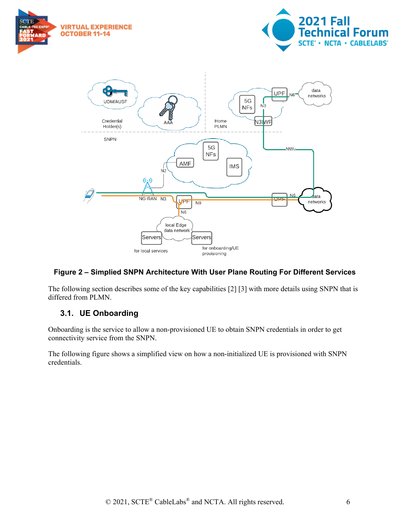





#### <span id="page-5-1"></span>**Figure 2 – Simplied SNPN Architecture With User Plane Routing For Different Services**

The following section describes some of the key capabilities [2] [3] with more details using SNPN that is differed from PLMN.

#### <span id="page-5-0"></span>**3.1. UE Onboarding**

Onboarding is the service to allow a non-provisioned UE to obtain SNPN credentials in order to get connectivity service from the SNPN.

The following figure shows a simplified view on how a non-initialized UE is provisioned with SNPN credentials.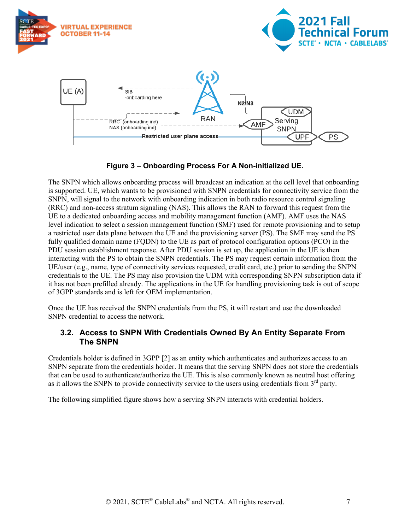

**Figure 3 – Onboarding Process For A Non-initialized UE.** 

<span id="page-6-1"></span>The SNPN which allows onboarding process will broadcast an indication at the cell level that onboarding is supported. UE, which wants to be provisioned with SNPN credentials for connectivity service from the SNPN, will signal to the network with onboarding indication in both radio resource control signaling (RRC) and non-access stratum signaling (NAS). This allows the RAN to forward this request from the UE to a dedicated onboarding access and mobility management function (AMF). AMF uses the NAS level indication to select a session management function (SMF) used for remote provisioning and to setup a restricted user data plane between the UE and the provisioning server (PS). The SMF may send the PS fully qualified domain name (FQDN) to the UE as part of protocol configuration options (PCO) in the PDU session establishment response. After PDU session is set up, the application in the UE is then interacting with the PS to obtain the SNPN credentials. The PS may request certain information from the UE/user (e.g., name, type of connectivity services requested, credit card, etc.) prior to sending the SNPN credentials to the UE. The PS may also provision the UDM with corresponding SNPN subscription data if it has not been prefilled already. The applications in the UE for handling provisioning task is out of scope of 3GPP standards and is left for OEM implementation.

Once the UE has received the SNPN credentials from the PS, it will restart and use the downloaded SNPN credential to access the network.

#### <span id="page-6-0"></span>**3.2. Access to SNPN With Credentials Owned By An Entity Separate From The SNPN**

Credentials holder is defined in 3GPP [2] as an entity which authenticates and authorizes access to an SNPN separate from the credentials holder. It means that the serving SNPN does not store the credentials that can be used to authenticate/authorize the UE. This is also commonly known as neutral host offering as it allows the SNPN to provide connectivity service to the users using credentials from  $3<sup>rd</sup>$  party.

The following simplified figure shows how a serving SNPN interacts with credential holders.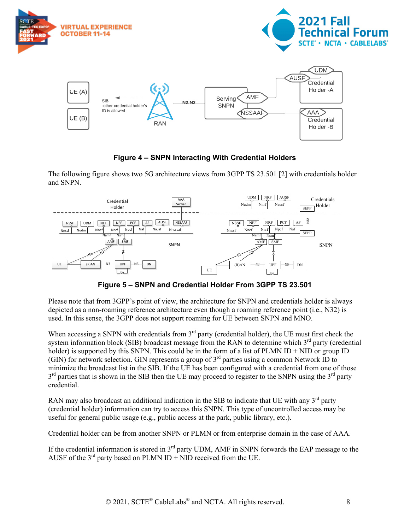

**Figure 4 – SNPN Interacting With Credential Holders**

<span id="page-7-0"></span>The following figure shows two 5G architecture views from 3GPP TS 23.501 [2] with credentials holder and SNPN.



**Figure 5 – SNPN and Credential Holder From 3GPP TS 23.501**

<span id="page-7-1"></span>Please note that from 3GPP's point of view, the architecture for SNPN and credentials holder is always depicted as a non-roaming reference architecture even though a roaming reference point (i.e., N32) is used. In this sense, the 3GPP does not support roaming for UE between SNPN and MNO.

When accessing a SNPN with credentials from  $3<sup>rd</sup>$  party (credential holder), the UE must first check the system information block (SIB) broadcast message from the RAN to determine which 3<sup>rd</sup> party (credential holder) is supported by this SNPN. This could be in the form of a list of PLMN ID + NID or group ID (GIN) for network selection. GIN represents a group of  $3<sup>rd</sup>$  parties using a common Network ID to minimize the broadcast list in the SIB. If the UE has been configured with a credential from one of those  $3<sup>rd</sup>$  parties that is shown in the SIB then the UE may proceed to register to the SNPN using the  $3<sup>rd</sup>$  party credential.

RAN may also broadcast an additional indication in the SIB to indicate that UE with any  $3<sup>rd</sup>$  party (credential holder) information can try to access this SNPN. This type of uncontrolled access may be useful for general public usage (e.g., public access at the park, public library, etc.).

Credential holder can be from another SNPN or PLMN or from enterprise domain in the case of AAA.

If the credential information is stored in  $3<sup>rd</sup>$  party UDM, AMF in SNPN forwards the EAP message to the AUSF of the  $3^{rd}$  party based on PLMN ID + NID received from the UE.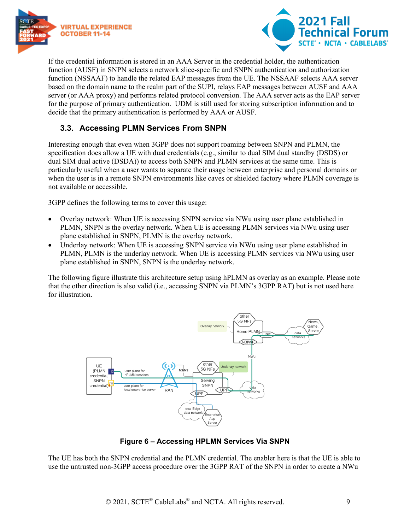



If the credential information is stored in an AAA Server in the credential holder, the authentication function (AUSF) in SNPN selects a network slice-specific and SNPN authentication and authorization function (NSSAAF) to handle the related EAP messages from the UE. The NSSAAF selects AAA server based on the domain name to the realm part of the SUPI, relays EAP messages between AUSF and AAA server (or AAA proxy) and performs related protocol conversion. The AAA server acts as the EAP server for the purpose of primary authentication. UDM is still used for storing subscription information and to decide that the primary authentication is performed by AAA or AUSF.

#### <span id="page-8-0"></span>**3.3. Accessing PLMN Services From SNPN**

Interesting enough that even when 3GPP does not support roaming between SNPN and PLMN, the specification does allow a UE with dual credentials (e.g., similar to dual SIM dual standby (DSDS) or dual SIM dual active (DSDA)) to access both SNPN and PLMN services at the same time. This is particularly useful when a user wants to separate their usage between enterprise and personal domains or when the user is in a remote SNPN environments like caves or shielded factory where PLMN coverage is not available or accessible.

3GPP defines the following terms to cover this usage:

- Overlay network: When UE is accessing SNPN service via NWu using user plane established in PLMN, SNPN is the overlay network. When UE is accessing PLMN services via NWu using user plane established in SNPN, PLMN is the overlay network.
- Underlay network: When UE is accessing SNPN service via NWu using user plane established in PLMN, PLMN is the underlay network. When UE is accessing PLMN services via NWu using user plane established in SNPN, SNPN is the underlay network.

The following figure illustrate this architecture setup using hPLMN as overlay as an example. Please note that the other direction is also valid (i.e., accessing SNPN via PLMN's 3GPP RAT) but is not used here for illustration.



**Figure 6 – Accessing HPLMN Services Via SNPN**

<span id="page-8-1"></span>The UE has both the SNPN credential and the PLMN credential. The enabler here is that the UE is able to use the untrusted non-3GPP access procedure over the 3GPP RAT of the SNPN in order to create a NWu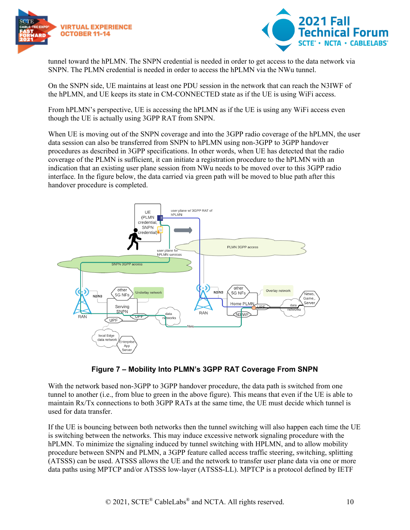



tunnel toward the hPLMN. The SNPN credential is needed in order to get access to the data network via SNPN. The PLMN credential is needed in order to access the hPLMN via the NWu tunnel.

On the SNPN side, UE maintains at least one PDU session in the network that can reach the N3IWF of the hPLMN, and UE keeps its state in CM-CONNECTED state as if the UE is using WiFi access.

From hPLMN's perspective, UE is accessing the hPLMN as if the UE is using any WiFi access even though the UE is actually using 3GPP RAT from SNPN.

When UE is moving out of the SNPN coverage and into the 3GPP radio coverage of the hPLMN, the user data session can also be transferred from SNPN to hPLMN using non-3GPP to 3GPP handover procedures as described in 3GPP specifications. In other words, when UE has detected that the radio coverage of the PLMN is sufficient, it can initiate a registration procedure to the hPLMN with an indication that an existing user plane session from NWu needs to be moved over to this 3GPP radio interface. In the figure below, the data carried via green path will be moved to blue path after this handover procedure is completed.



#### **Figure 7 – Mobility Into PLMN's 3GPP RAT Coverage From SNPN**

<span id="page-9-0"></span>With the network based non-3GPP to 3GPP handover procedure, the data path is switched from one tunnel to another (i.e., from blue to green in the above figure). This means that even if the UE is able to maintain Rx/Tx connections to both 3GPP RATs at the same time, the UE must decide which tunnel is used for data transfer.

If the UE is bouncing between both networks then the tunnel switching will also happen each time the UE is switching between the networks. This may induce excessive network signaling procedure with the hPLMN. To minimize the signaling induced by tunnel switching with HPLMN, and to allow mobility procedure between SNPN and PLMN, a 3GPP feature called access traffic steering, switching, splitting (ATSSS) can be used. ATSSS allows the UE and the network to transfer user plane data via one or more data paths using MPTCP and/or ATSSS low-layer (ATSSS-LL). MPTCP is a protocol defined by IETF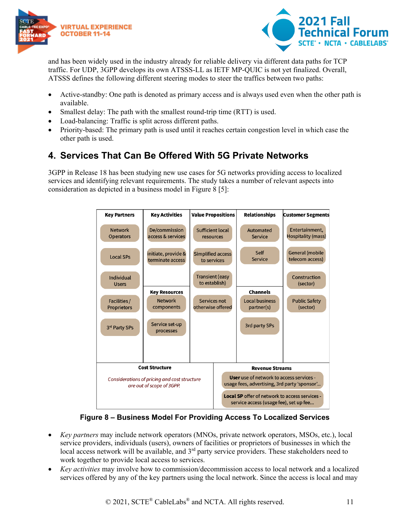



and has been widely used in the industry already for reliable delivery via different data paths for TCP traffic. For UDP, 3GPP develops its own ATSSS-LL as IETF MP-QUIC is not yet finalized. Overall, ATSSS defines the following different steering modes to steer the traffics between two paths:

- Active-standby: One path is denoted as primary access and is always used even when the other path is available.
- Smallest delay: The path with the smallest round-trip time (RTT) is used.
- Load-balancing: Traffic is split across different paths.
- Priority-based: The primary path is used until it reaches certain congestion level in which case the other path is used.

### <span id="page-10-0"></span>**4. Services That Can Be Offered With 5G Private Networks**

3GPP in Release 18 has been studying new use cases for 5G networks providing access to localized services and identifying relevant requirements. The study takes a number of relevant aspects into consideration as depicted in a business model in Figure 8 [5]:



**Figure 8 – Business Model For Providing Access To Localized Services**

- <span id="page-10-1"></span>• *Key partners* may include network operators (MNOs, private network operators, MSOs, etc.), local service providers, individuals (users), owners of facilities or proprietors of businesses in which the local access network will be available, and  $3<sup>rd</sup>$  party service providers. These stakeholders need to work together to provide local access to services.
- *Key activities* may involve how to commission/decommission access to local network and a localized services offered by any of the key partners using the local network. Since the access is local and may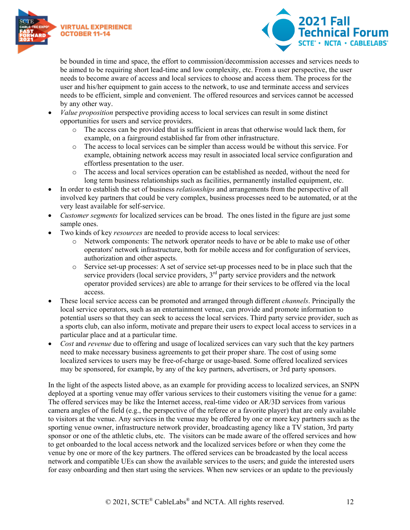



be bounded in time and space, the effort to commission/decommission accesses and services needs to be aimed to be requiring short lead-time and low complexity, etc. From a user perspective, the user needs to become aware of access and local services to choose and access them. The process for the user and his/her equipment to gain access to the network, to use and terminate access and services needs to be efficient, simple and convenient. The offered resources and services cannot be accessed by any other way.

- *Value proposition* perspective providing access to local services can result in some distinct opportunities for users and service providers.
	- o The access can be provided that is sufficient in areas that otherwise would lack them, for example, on a fairground established far from other infrastructure.
	- o The access to local services can be simpler than access would be without this service. For example, obtaining network access may result in associated local service configuration and effortless presentation to the user.
	- o The access and local services operation can be established as needed, without the need for long term business relationships such as facilities, permanently installed equipment, etc.
- In order to establish the set of business *relationships* and arrangements from the perspective of all involved key partners that could be very complex, business processes need to be automated, or at the very least available for self-service.
- *Customer segments* for localized services can be broad. The ones listed in the figure are just some sample ones.
- Two kinds of key *resources* are needed to provide access to local services:
	- o Network components: The network operator needs to have or be able to make use of other operators' network infrastructure, both for mobile access and for configuration of services, authorization and other aspects.
	- o Service set-up processes: A set of service set-up processes need to be in place such that the service providers (local service providers, 3<sup>rd</sup> party service providers and the network operator provided services) are able to arrange for their services to be offered via the local access.
- These local service access can be promoted and arranged through different *channels*. Principally the local service operators, such as an entertainment venue, can provide and promote information to potential users so that they can seek to access the local services. Third party service provider, such as a sports club, can also inform, motivate and prepare their users to expect local access to services in a particular place and at a particular time.
- *Cost* and *revenue* due to offering and usage of localized services can vary such that the key partners need to make necessary business agreements to get their proper share. The cost of using some localized services to users may be free-of-charge or usage-based. Some offered localized services may be sponsored, for example, by any of the key partners, advertisers, or 3rd party sponsors.

In the light of the aspects listed above, as an example for providing access to localized services, an SNPN deployed at a sporting venue may offer various services to their customers visiting the venue for a game: The offered services may be like the Internet access, real-time video or AR/3D services from various camera angles of the field (e.g., the perspective of the referee or a favorite player) that are only available to visitors at the venue. Any services in the venue may be offered by one or more key partners such as the sporting venue owner, infrastructure network provider, broadcasting agency like a TV station, 3rd party sponsor or one of the athletic clubs, etc. The visitors can be made aware of the offered services and how to get onboarded to the local access network and the localized services before or when they come the venue by one or more of the key partners. The offered services can be broadcasted by the local access network and compatible UEs can show the available services to the users; and guide the interested users for easy onboarding and then start using the services. When new services or an update to the previously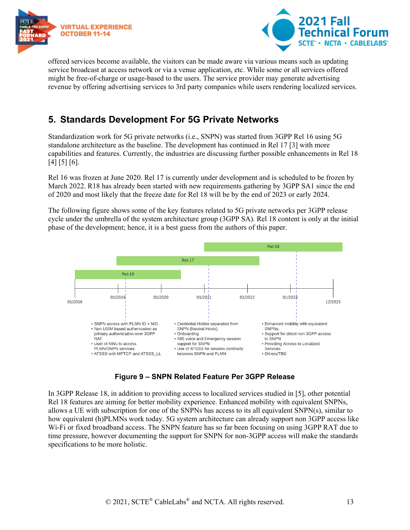



offered services become available, the visitors can be made aware via various means such as updating service broadcast at access network or via a venue application, etc. While some or all services offered might be free-of-charge or usage-based to the users. The service provider may generate advertising revenue by offering advertising services to 3rd party companies while users rendering localized services.

### <span id="page-12-0"></span>**5. Standards Development For 5G Private Networks**

Standardization work for 5G private networks (i.e., SNPN) was started from 3GPP Rel 16 using 5G standalone architecture as the baseline. The development has continued in Rel 17 [3] with more capabilities and features. Currently, the industries are discussing further possible enhancements in Rel 18 [4] [5] [6].

Rel 16 was frozen at June 2020. Rel 17 is currently under development and is scheduled to be frozen by March 2022. R18 has already been started with new requirements gathering by 3GPP SA1 since the end of 2020 and most likely that the freeze date for Rel 18 will be by the end of 2023 or early 2024.

The following figure shows some of the key features related to 5G private networks per 3GPP release cycle under the umbrella of the system architecture group (3GPP SA). Rel 18 content is only at the initial phase of the development; hence, it is a best guess from the authors of this paper.



**Figure 9 – SNPN Related Feature Per 3GPP Release**

<span id="page-12-1"></span>In 3GPP Release 18, in addition to providing access to localized services studied in [5], other potential Rel 18 features are aiming for better mobility experience. Enhanced mobility with equivalent SNPNs, allows a UE with subscription for one of the SNPNs has access to its all equivalent SNPN(s), similar to how equivalent (h)PLMNs work today. 5G system architecture can already support non 3GPP access like Wi-Fi or fixed broadband access. The SNPN feature has so far been focusing on using 3GPP RAT due to time pressure, however documenting the support for SNPN for non-3GPP access will make the standards specifications to be more holistic.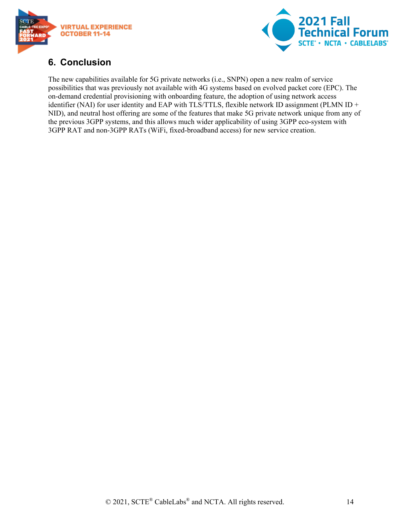



### <span id="page-13-0"></span>**6. Conclusion**

The new capabilities available for 5G private networks (i.e., SNPN) open a new realm of service possibilities that was previously not available with 4G systems based on evolved packet core (EPC). The on-demand credential provisioning with onboarding feature, the adoption of using network access identifier (NAI) for user identity and EAP with TLS/TTLS, flexible network ID assignment (PLMN ID + NID), and neutral host offering are some of the features that make 5G private network unique from any of the previous 3GPP systems, and this allows much wider applicability of using 3GPP eco-system with 3GPP RAT and non-3GPP RATs (WiFi, fixed-broadband access) for new service creation.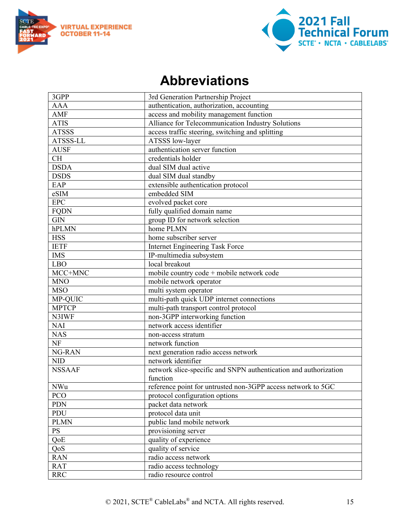



## **Abbreviations**

<span id="page-14-0"></span>

| 3GPP          | 3rd Generation Partnership Project                               |
|---------------|------------------------------------------------------------------|
| <b>AAA</b>    | authentication, authorization, accounting                        |
| AMF           | access and mobility management function                          |
| <b>ATIS</b>   | Alliance for Telecommunication Industry Solutions                |
| <b>ATSSS</b>  | access traffic steering, switching and splitting                 |
| ATSSS-LL      | ATSSS low-layer                                                  |
| <b>AUSF</b>   | authentication server function                                   |
| <b>CH</b>     | credentials holder                                               |
| <b>DSDA</b>   | dual SIM dual active                                             |
| <b>DSDS</b>   | dual SIM dual standby                                            |
| EAP           | extensible authentication protocol                               |
| eSIM          | embedded SIM                                                     |
| <b>EPC</b>    | evolved packet core                                              |
| <b>FQDN</b>   | fully qualified domain name                                      |
| <b>GIN</b>    | group ID for network selection                                   |
| hPLMN         | home PLMN                                                        |
| <b>HSS</b>    | home subscriber server                                           |
| <b>IETF</b>   | <b>Internet Engineering Task Force</b>                           |
| <b>IMS</b>    | IP-multimedia subsystem                                          |
| <b>LBO</b>    | local breakout                                                   |
| MCC+MNC       | mobile country code + mobile network code                        |
| <b>MNO</b>    | mobile network operator                                          |
| <b>MSO</b>    | multi system operator                                            |
| MP-QUIC       | multi-path quick UDP internet connections                        |
| <b>MPTCP</b>  | multi-path transport control protocol                            |
| N3IWF         | non-3GPP interworking function                                   |
| <b>NAI</b>    | network access identifier                                        |
| <b>NAS</b>    | non-access stratum                                               |
| <b>NF</b>     | network function                                                 |
| NG-RAN        | next generation radio access network                             |
| <b>NID</b>    | network identifier                                               |
| <b>NSSAAF</b> | network slice-specific and SNPN authentication and authorization |
|               | function                                                         |
| <b>NWu</b>    | reference point for untrusted non-3GPP access network to 5GC     |
| <b>PCO</b>    | protocol configuration options                                   |
| <b>PDN</b>    | packet data network                                              |
| PDU           | protocol data unit                                               |
| <b>PLMN</b>   | public land mobile network                                       |
| <b>PS</b>     | provisioning server                                              |
| QoE           | quality of experience                                            |
| QoS           | quality of service                                               |
| <b>RAN</b>    | radio access network                                             |
| <b>RAT</b>    | radio access technology                                          |
| <b>RRC</b>    | radio resource control                                           |